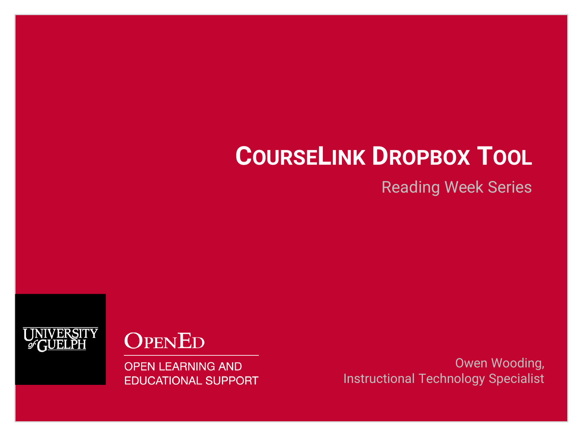# **COURSELINK DROPBOX TOOL**

Reading Week Series



**OPENED** 

**OPEN LEARNING AND EDUCATIONAL SUPPORT** 

Owen Wooding, Instructional Technology Specialist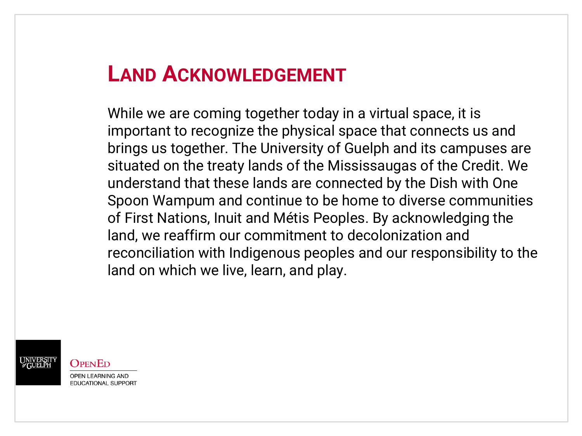### **LAND ACKNOWLEDGEMENT**

While we are coming together today in a virtual space, it is important to recognize the physical space that connects us and brings us together. The University of Guelph and its campuses are situated on the treaty lands of the Mississaugas of the Credit. We understand that these lands are connected by the Dish with One Spoon Wampum and continue to be home to diverse communities of First Nations, Inuit and Métis Peoples. By acknowledging the land, we reaffirm our commitment to decolonization and reconciliation with Indigenous peoples and our responsibility to the land on which we live, learn, and play.

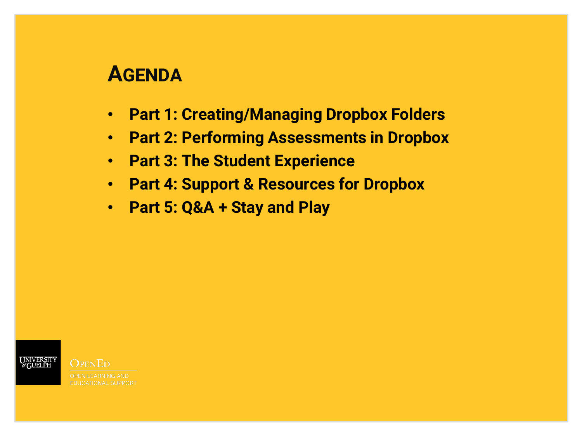### **AGENDA**

- **Part 1: Creating/Managing Dropbox Folders**
- **Part 2: Performing Assessments in Dropbox**
- **Part 3: The Student Experience**
- **Part 4: Support & Resources for Dropbox**
- **Part 5: Q&A + Stay and Play**

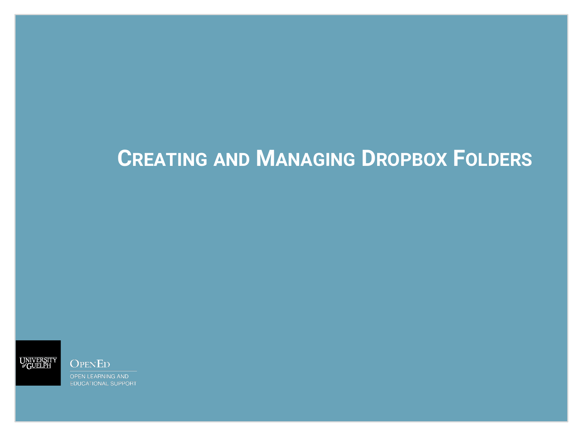# **CREATING AND MANAGING DROPBOX FOLDERS**



**OPENED OPEN LEARNING AND** 

**EDUCATIONAL SUPPORT**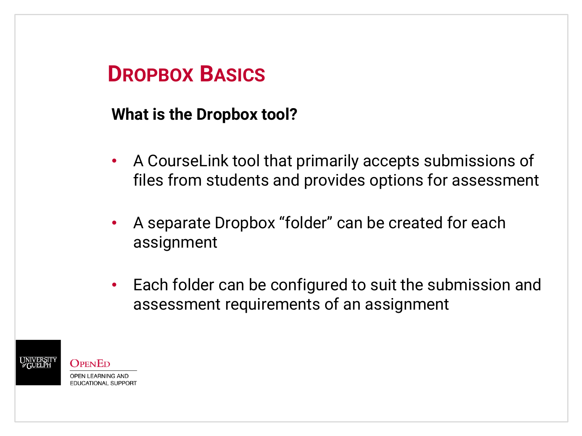#### **What is the Dropbox tool?**

- A CourseLink tool that primarily accepts submissions of files from students and provides options for assessment
- A separate Dropbox "folder" can be created for each assignment
- Each folder can be configured to suit the submission and assessment requirements of an assignment

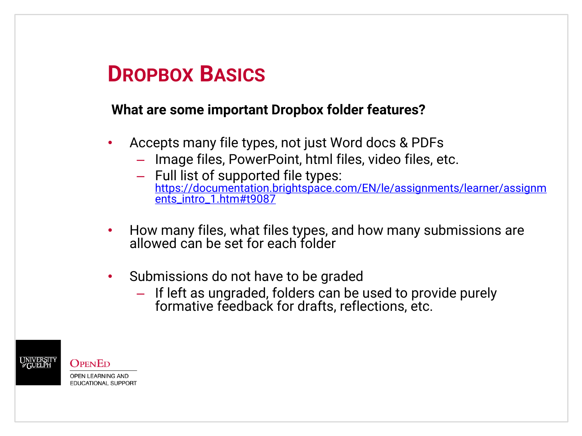#### **What are some important Dropbox folder features?**

- Accepts many file types, not just Word docs & PDFs
	- Image files, PowerPoint, html files, video files, etc.
	- Full list of supported file types: [https://documentation.brightspace.com/EN/le/assignments/learner/assignm](https://documentation.brightspace.com/EN/le/assignments/learner/assignments_intro_1.htm#t9087) ents\_intro\_1.htm#t9087
- How many files, what files types, and how many submissions are allowed can be set for each folder
- Submissions do not have to be graded
	- If left as ungraded, folders can be used to provide purely formative feedback for drafts, reflections, etc.

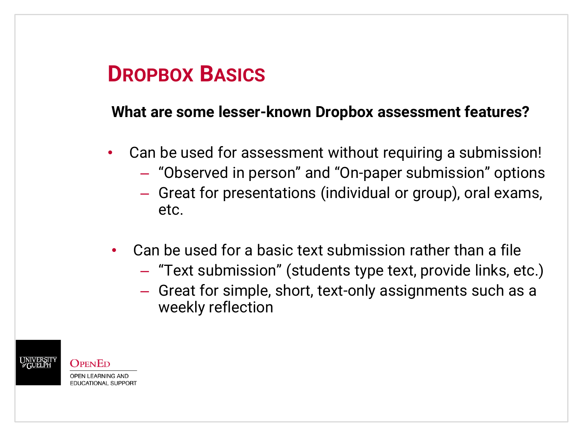#### **What are some lesser-known Dropbox assessment features?**

- Can be used for assessment without requiring a submission!
	- "Observed in person" and "On-paper submission" options
	- Great for presentations (individual or group), oral exams, etc.
- Can be used for a basic text submission rather than a file
	- "Text submission" (students type text, provide links, etc.)
	- Great for simple, short, text-only assignments such as a weekly reflection



 $\Omega_{\rm PEN}$ Ed **OPEN LEARNING AND EDUCATIONAL SUPPORT**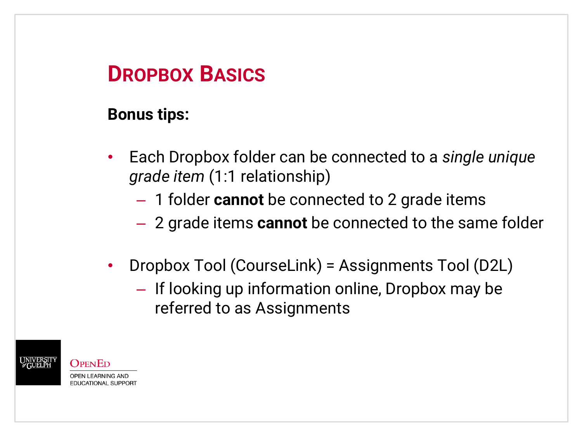#### **Bonus tips:**

- Each Dropbox folder can be connected to a *single unique grade item* (1:1 relationship)
	- 1 folder **cannot** be connected to 2 grade items
	- 2 grade items **cannot** be connected to the same folder
- Dropbox Tool (CourseLink) = Assignments Tool (D2L)
	- If looking up information online, Dropbox may be referred to as Assignments

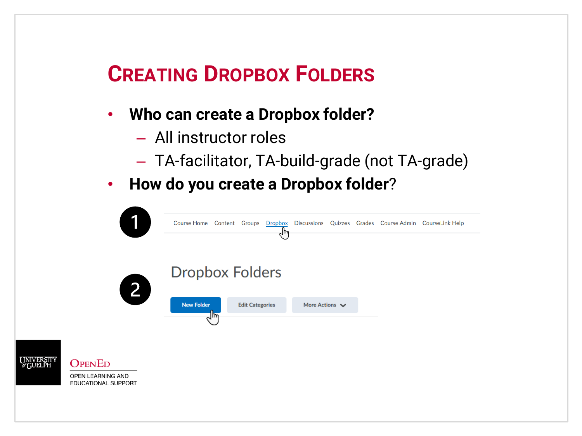#### • **Who can create a Dropbox folder?**

- All instructor roles
- TA-facilitator, TA-build-grade (not TA-grade)
- **How do you create a Dropbox folder**?

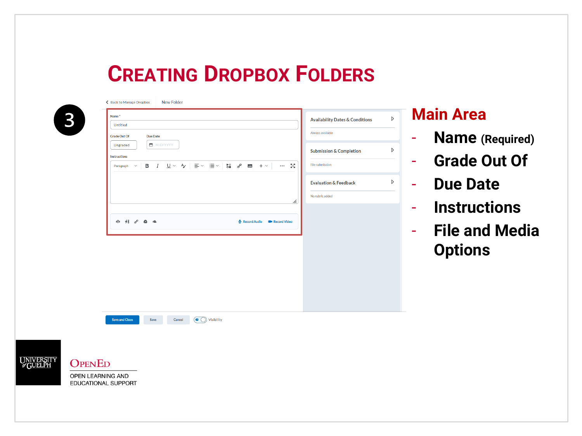

UNIVERSIT<br>GUELPH

**OPENED** OPEN LEARNING AND EDUCATIONAL SUPPORT

← Back to Manage Dropbox New Folder

| Name*                 |                                                                           |        |                            |              |                           |    | <b>Availability Dates &amp; Conditions</b> |  |
|-----------------------|---------------------------------------------------------------------------|--------|----------------------------|--------------|---------------------------|----|--------------------------------------------|--|
| Untitled              |                                                                           |        |                            |              |                           |    |                                            |  |
| <b>Grade Out Of</b>   | <b>Due Date</b>                                                           |        |                            |              |                           |    | Always available                           |  |
| Ungraded              | ■ M/D/YYYY                                                                |        |                            |              |                           |    | <b>Submission &amp; Completion</b>         |  |
| <b>Instructions</b>   |                                                                           |        |                            |              |                           |    |                                            |  |
| Paragraph             |                                                                           |        |                            |              | $\cdots$                  | 5ð | File submission                            |  |
|                       |                                                                           |        |                            |              |                           |    | <b>Evaluation &amp; Feedback</b>           |  |
|                       |                                                                           |        |                            |              |                           | h. | No rubric added                            |  |
|                       |                                                                           |        |                            |              |                           |    |                                            |  |
|                       |                                                                           |        |                            |              |                           |    |                                            |  |
|                       |                                                                           |        |                            |              |                           |    |                                            |  |
|                       | $\Leftrightarrow$ $\begin{array}{ccccc}\n48 & 6^0 & 45 & 46\n\end{array}$ |        |                            | Record Audio | <b>EXPIRENCIATE Video</b> |    |                                            |  |
|                       |                                                                           |        |                            |              |                           |    |                                            |  |
|                       |                                                                           |        |                            |              |                           |    |                                            |  |
|                       |                                                                           |        |                            |              |                           |    |                                            |  |
|                       |                                                                           |        |                            |              |                           |    |                                            |  |
|                       |                                                                           |        |                            |              |                           |    |                                            |  |
|                       |                                                                           |        |                            |              |                           |    |                                            |  |
|                       |                                                                           |        |                            |              |                           |    |                                            |  |
|                       |                                                                           |        |                            |              |                           |    |                                            |  |
|                       |                                                                           |        |                            |              |                           |    |                                            |  |
|                       |                                                                           |        |                            |              |                           |    |                                            |  |
|                       |                                                                           |        |                            |              |                           |    |                                            |  |
| <b>Save and Close</b> | Save                                                                      | Cancel | $\circ$ $\circ$ Visibility |              |                           |    |                                            |  |
|                       |                                                                           |        |                            |              |                           |    |                                            |  |

#### **Main Area**

- **Name (Required)**
- **Grade Out Of**
- **Due Date**
- **Instructions**
- **File and Media Options**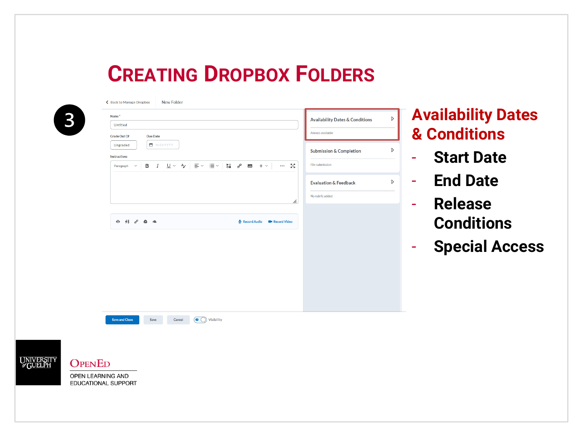| Name <sup>*</sup>                                                                                                                                                                  | D<br><b>Availability Dates &amp; Conditions</b> | <b>Availability Dates</b>         |
|------------------------------------------------------------------------------------------------------------------------------------------------------------------------------------|-------------------------------------------------|-----------------------------------|
| Untitled                                                                                                                                                                           |                                                 |                                   |
| <b>Grade Out Of</b><br><b>Due Date</b>                                                                                                                                             | Always available                                | <b>&amp; Conditions</b>           |
| ■ M/D/YYYY<br>Ungraded                                                                                                                                                             | D                                               |                                   |
| <b>Instructions</b>                                                                                                                                                                | <b>Submission &amp; Completion</b>              | <b>Start Date</b>                 |
| -53<br>$\cup$ $\sim$<br>$\equiv$ $\sim$<br>≔ ∼<br>$\frac{1}{2}$<br>$\sigma^{\!\mathcal{P}}$<br>в<br>$\frac{A}{A}$<br>$\mathbb{R}$ + $\vee$<br>$\cdots$<br>$\check{ }$<br>Paragraph | File submission                                 |                                   |
|                                                                                                                                                                                    | D<br><b>Evaluation &amp; Feedback</b>           | <b>End Date</b><br>$\equiv$       |
|                                                                                                                                                                                    | No rubric added                                 |                                   |
| h.                                                                                                                                                                                 |                                                 | <b>Release</b><br>$\equiv$        |
|                                                                                                                                                                                    |                                                 |                                   |
| <b>P</b> 48 8<br>$\triangle$ $\triangle$<br>Record Audio<br><b>EXP</b> Record Video                                                                                                |                                                 | <b>Conditions</b>                 |
|                                                                                                                                                                                    |                                                 |                                   |
|                                                                                                                                                                                    |                                                 | <b>Special Access</b><br>$\equiv$ |
|                                                                                                                                                                                    |                                                 |                                   |
|                                                                                                                                                                                    |                                                 |                                   |
|                                                                                                                                                                                    |                                                 |                                   |
|                                                                                                                                                                                    |                                                 |                                   |
|                                                                                                                                                                                    |                                                 |                                   |
|                                                                                                                                                                                    |                                                 |                                   |
|                                                                                                                                                                                    |                                                 |                                   |
| $\left(\bullet\right)$ Visibility<br><b>Save and Close</b><br>Save<br>Cancel                                                                                                       |                                                 |                                   |

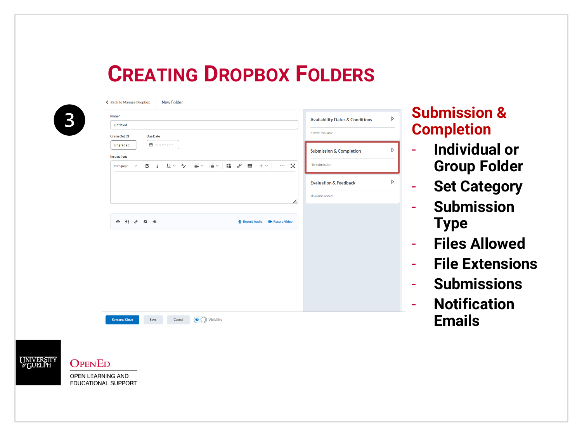**Submission &** 

- **Individual or** 

- **Set Category**

- **Files Allowed**

- **Submissions**

- **Notification** 

**Emails**

- **File Extensions**

- **Submission** 

**Type**

**Group Folder**

**Completion**

|                                                                          |                 |  |              |                        |    | <b>Availability Dates &amp; Conditions</b> |  |
|--------------------------------------------------------------------------|-----------------|--|--------------|------------------------|----|--------------------------------------------|--|
| <b>Untitled</b>                                                          |                 |  |              |                        |    |                                            |  |
| <b>Grade Out Of</b>                                                      | <b>Due Date</b> |  |              |                        |    | Always available                           |  |
| Ungraded                                                                 | ■ M/D/YYYY      |  |              |                        |    |                                            |  |
| Instructions                                                             |                 |  |              |                        |    | <b>Submission &amp; Completion</b>         |  |
| $\checkmark$<br>Paragraph                                                |                 |  |              | $\cdots$               | 5g | File submission                            |  |
|                                                                          |                 |  |              |                        |    | <b>Evaluation &amp; Feedback</b>           |  |
|                                                                          |                 |  |              |                        |    | No rubric added                            |  |
|                                                                          |                 |  |              |                        | h. |                                            |  |
|                                                                          |                 |  |              |                        |    |                                            |  |
| $\Leftrightarrow$ $\begin{array}{ccccc}\n48 & 60 & 40 & 40\n\end{array}$ |                 |  | Record Audio | <b>BI</b> Record Video |    |                                            |  |
|                                                                          |                 |  |              |                        |    |                                            |  |
|                                                                          |                 |  |              |                        |    |                                            |  |
|                                                                          |                 |  |              |                        |    |                                            |  |
|                                                                          |                 |  |              |                        |    |                                            |  |
|                                                                          |                 |  |              |                        |    |                                            |  |
|                                                                          |                 |  |              |                        |    |                                            |  |
|                                                                          |                 |  |              |                        |    |                                            |  |
|                                                                          |                 |  |              |                        |    |                                            |  |
|                                                                          |                 |  |              |                        |    |                                            |  |
|                                                                          |                 |  |              |                        |    |                                            |  |
|                                                                          |                 |  |              |                        |    |                                            |  |

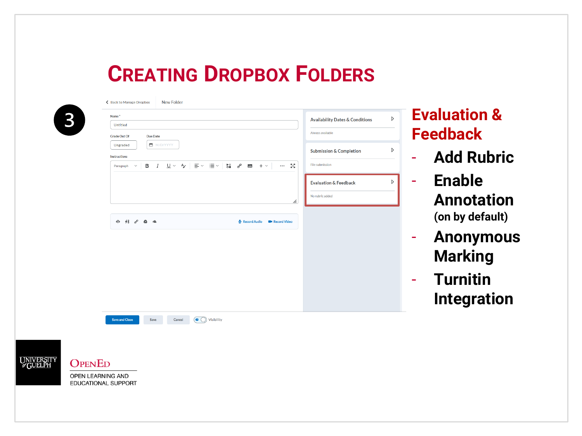| Name*                                                                     | $\triangleright$<br><b>Availability Dates &amp; Conditions</b> |
|---------------------------------------------------------------------------|----------------------------------------------------------------|
| Untitled                                                                  |                                                                |
| <b>Grade Out Of</b><br><b>Due Date</b>                                    | Always available                                               |
| ■ M/D/YYYY<br>Ungraded                                                    | D<br><b>Submission &amp; Completion</b>                        |
| Instructions                                                              |                                                                |
| $\cal I$<br>в<br>$\checkmark$<br>Paragraph                                | File submission<br>$\mathbb{Z}_2^N$<br>$\cdots$                |
|                                                                           | D<br><b>Evaluation &amp; Feedback</b>                          |
|                                                                           | No rubric added<br>h.                                          |
| $\Leftrightarrow$ $\begin{array}{ccccc}\n48 & 6^0 & 45 & 46\n\end{array}$ | Record Audio<br><b>B</b> Record Video                          |
|                                                                           |                                                                |
|                                                                           |                                                                |
|                                                                           |                                                                |
|                                                                           |                                                                |
|                                                                           |                                                                |
|                                                                           |                                                                |



- **Add Rubric**
- **Enable Annotation (on by default)**
- **Anonymous Marking**
- **Turnitin Integration**

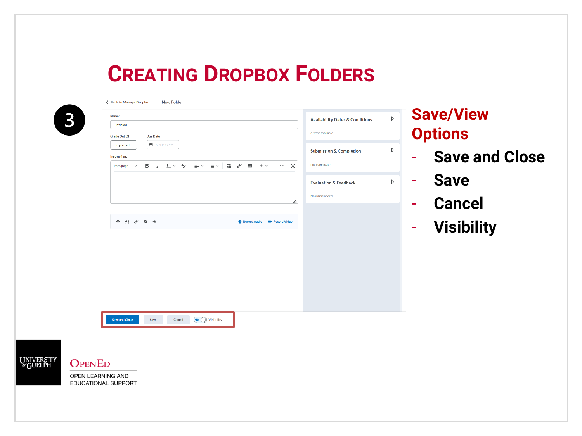| Name*                                                                     |                                         |                                             |                                                                                                                                                       |                                    | <b>Availability Dates &amp; Conditions</b> | <b>Save/View</b><br>$\triangleright$ |
|---------------------------------------------------------------------------|-----------------------------------------|---------------------------------------------|-------------------------------------------------------------------------------------------------------------------------------------------------------|------------------------------------|--------------------------------------------|--------------------------------------|
| Untitled                                                                  |                                         |                                             |                                                                                                                                                       | Always available                   |                                            |                                      |
| <b>Grade Out Of</b>                                                       | <b>Due Date</b><br>■ M/D/YYYY           |                                             |                                                                                                                                                       |                                    |                                            | <b>Options</b>                       |
| Ungraded                                                                  |                                         |                                             |                                                                                                                                                       | <b>Submission &amp; Completion</b> |                                            | D                                    |
| <b>Instructions</b><br>$\checkmark$<br>Paragraph                          | $\underline{\cup}$ $\vee$ $A$<br>в<br>I | $\equiv$ $\sim$ $\equiv$ $\sim$ $\parallel$ | $\frac{\partial \mathbf{H}}{\partial \mathbf{B}}$ $\frac{\partial}{\partial \theta}$ $\mathbf{F}$ $\mathbf{F}$ $\mathbf{F}$ $\mathbf{F}$ $\mathbf{F}$ | File submission<br>중경<br>$\cdots$  |                                            | <b>Save and Close</b><br>$\equiv$    |
|                                                                           |                                         |                                             |                                                                                                                                                       | <b>Evaluation &amp; Feedback</b>   |                                            | <b>Save</b><br>D<br>$\equiv$         |
|                                                                           |                                         |                                             |                                                                                                                                                       | No rubric added                    |                                            |                                      |
|                                                                           |                                         |                                             |                                                                                                                                                       | h.                                 |                                            | <b>Cancel</b><br>÷                   |
|                                                                           |                                         |                                             |                                                                                                                                                       |                                    |                                            |                                      |
| $\Leftrightarrow$ $\begin{array}{ccccc}\n48 & 6^0 & 45 & 46\n\end{array}$ |                                         |                                             | Record Audio                                                                                                                                          | <b>BI</b> Record Video             |                                            | <b>Visibility</b><br>$\equiv$        |
|                                                                           |                                         |                                             |                                                                                                                                                       |                                    |                                            |                                      |
|                                                                           |                                         |                                             |                                                                                                                                                       |                                    |                                            |                                      |
|                                                                           |                                         |                                             |                                                                                                                                                       |                                    |                                            |                                      |
|                                                                           |                                         |                                             |                                                                                                                                                       |                                    |                                            |                                      |
|                                                                           |                                         |                                             |                                                                                                                                                       |                                    |                                            |                                      |
|                                                                           |                                         |                                             |                                                                                                                                                       |                                    |                                            |                                      |
|                                                                           |                                         |                                             |                                                                                                                                                       |                                    |                                            |                                      |
|                                                                           |                                         |                                             |                                                                                                                                                       |                                    |                                            |                                      |
|                                                                           |                                         |                                             |                                                                                                                                                       |                                    |                                            |                                      |
| <b>Save and Close</b>                                                     | Save<br>Cancel                          | $\circledcirc$ Visibility                   |                                                                                                                                                       |                                    |                                            |                                      |
|                                                                           |                                         |                                             |                                                                                                                                                       |                                    |                                            |                                      |
|                                                                           |                                         |                                             |                                                                                                                                                       |                                    |                                            |                                      |
|                                                                           |                                         |                                             |                                                                                                                                                       |                                    |                                            |                                      |
|                                                                           |                                         |                                             |                                                                                                                                                       |                                    |                                            |                                      |

OPEN LEARNING AND EDUCATIONAL SUPPORT

UNIVERSIT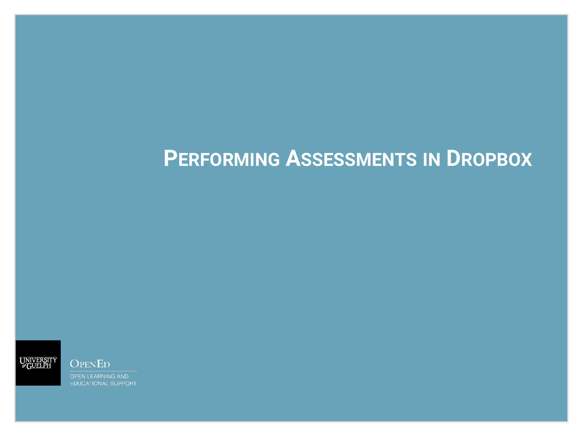

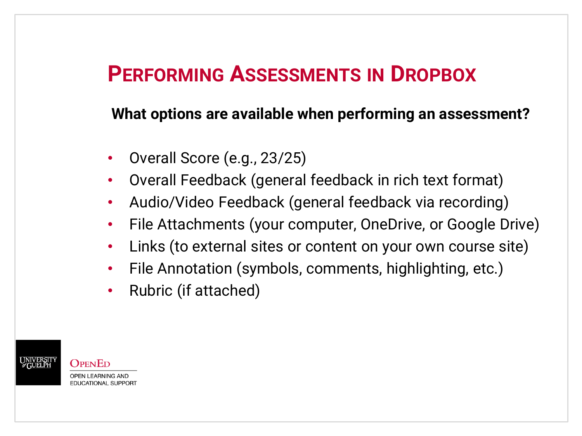#### **What options are available when performing an assessment?**

- Overall Score (e.g., 23/25)
- Overall Feedback (general feedback in rich text format)
- Audio/Video Feedback (general feedback via recording)
- File Attachments (your computer, OneDrive, or Google Drive)
- Links (to external sites or content on your own course site)
- File Annotation (symbols, comments, highlighting, etc.)
- Rubric (if attached)

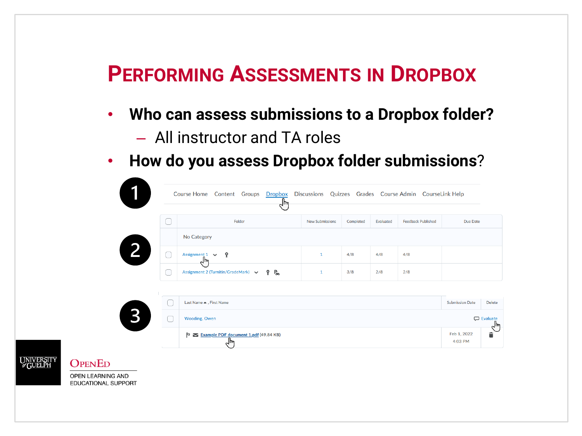- **Who can assess submissions to a Dropbox folder?**
	- All instructor and TA roles
- **How do you assess Dropbox folder submissions**?

| Course Home Content Groups Dropbox Discussions Quizzes Grades Course Admin CourseLink Help<br>$L_{\text{lim}}$ |                        |           |           |                           |          |
|----------------------------------------------------------------------------------------------------------------|------------------------|-----------|-----------|---------------------------|----------|
| Folder                                                                                                         | <b>New Submissions</b> | Completed | Evaluated | <b>Feedback Published</b> | Due Date |
| No Category                                                                                                    |                        |           |           |                           |          |
| Assignment $1 \quad \vee$<br>۰<br>᠊ᠰ                                                                           |                        | 4/8       | 4/8       | 4/8                       |          |
| 一<br>Assignment 2 (Turnitin/GradeMark) $\vee$<br>Ŷ.                                                            |                        | 3/8       | 2/8       | 2/8                       |          |



**OPENED**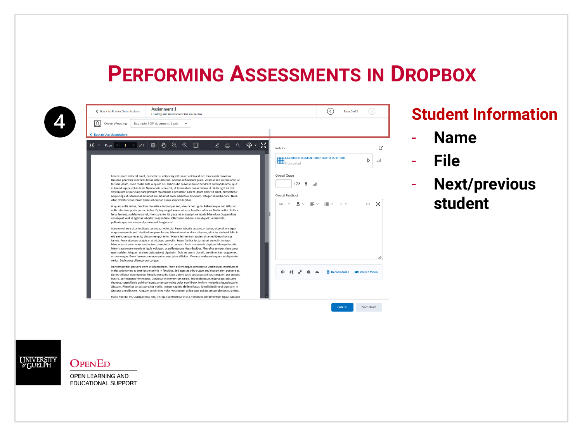

| ← Back to Folder Submissions                       | <b>Assignment 1</b><br><b>Grading and Assessment in CourseLink</b>                                                                                                                                                                                                                                                                                                                                                                                                                                                                                                                                                                                                                                                                                                                                                                                              |              | User 5 of 5 |                           |
|----------------------------------------------------|-----------------------------------------------------------------------------------------------------------------------------------------------------------------------------------------------------------------------------------------------------------------------------------------------------------------------------------------------------------------------------------------------------------------------------------------------------------------------------------------------------------------------------------------------------------------------------------------------------------------------------------------------------------------------------------------------------------------------------------------------------------------------------------------------------------------------------------------------------------------|--------------|-------------|---------------------------|
| Owen Wooding                                       | Example PDF document 1.pdf<br>$\checkmark$                                                                                                                                                                                                                                                                                                                                                                                                                                                                                                                                                                                                                                                                                                                                                                                                                      |              |             |                           |
| ← Back to User Submissions                         |                                                                                                                                                                                                                                                                                                                                                                                                                                                                                                                                                                                                                                                                                                                                                                                                                                                                 |              |             |                           |
| $1 \quad   \quad$ of 1<br>Page 4                   | 5š<br>$\epsilon_{\mu\nu}$<br>Q<br>$\oplus$<br>$\mathscr{L}$<br>හ<br>$\epsilon$<br>ঞ -<br>$\alpha$<br><b>Rubrics</b>                                                                                                                                                                                                                                                                                                                                                                                                                                                                                                                                                                                                                                                                                                                                             |              |             | гł                        |
|                                                    | Example Research Paper Rubric (Cornell)                                                                                                                                                                                                                                                                                                                                                                                                                                                                                                                                                                                                                                                                                                                                                                                                                         |              |             | D<br>۱ıl.                 |
|                                                    | Overall Grade<br>Lorem ipsum dolor sit amet, consectetur adipiscing elit. Nunc lacinia est nec malesuada maximus.<br>Quisque pharetra venenatis tellus vitae placerat. Aenean at tincidunt justo. Vivamus sed viverra ante, vel<br>/28<br>Ŷ<br>اس.<br>facilisis ipsum. Proin mollis ante aliquam nisi sollicitudin pulvinar. Nunc hendrerit commodo arcu, quis<br>euismod sapien vehicula id. Nam iaculis urna erat, at fermentum quam finibus ut. Nulla eget mi nisl.<br>Vestibulum ac purus ut nunc pretium malesuada a sed dolor. Lorem ipsum dolor sit amet, consectetur<br>Overall Feedback<br>adipiscing elit. Maecenas sit amet orci sit amet dolor bibendum tincidunt. Integer id mollis nunc. Nulla<br>vitae efficitur risus. Proin tincidunt erat ac purus semper dapibus.                                                                            |              |             |                           |
| pellentesque nec massa et, consequat feugiat erat. | $B \sim$<br>$\equiv$ $\sim$<br>For $\vee$<br>Aliquam nulla lectus, faucibus molestie ullamcorper sed, viverra nec ligula. Pellentesque nec tellus ac<br>nulla interdum porta quis ac lectus. Quisque eget lorem vel eros faucibus ultricies. Nulla facilisi. Nulla a<br>lacus laoreet, sodales eros vel, rhoncus ante. Ut placerat ex suscipit ex iaculis bibendum. Suspendisse<br>consequat velit id egestas lobortis. Suspendisse sollicitudin sed orci non aliquet. In nisi nibh,                                                                                                                                                                                                                                                                                                                                                                            | ≔ ~          |             | 55                        |
| varius. Sed cursus ullamcorper congue.             | Aenean vel arcu sit amet ligula consequat vehicula. Fusce lobortis accumsan lectus, vitae ullamcorper<br>magna venenatis sed. Vestibulum quam lorem, bibendum vitae diam aliquam, ultricies eleifend felis. In<br>elit enim, tempor et ex id, dictum tempor enim. Mauris fermentum sapien sit amet libero rhoncus<br>lacinia. Proin vitae purus quis erat tristique convallis. Fusce facilisis lectus ut est convallis tempus.<br>Maecenas sit amet mauris et lectus consectetur accumsan. Proin malesuada dapibus felis eget iaculis.<br>Mauris accumsan mauris at ligula volutpat, ut pellentesque risus dapibus. Phasellus semper vitae purus<br>eget sodales. Aliquam ultrices quis justo ut dignissim. Duis eu ipsum blandit, condimentum augue nec,<br>ornare neque. Proin fermentum eros quis consectetur efficitur. Vivamus malesuada quam ut dignissim |              |             | h.                        |
|                                                    | Nunc imperdiet posuere enim et ullamcorper. Proin pellentesque consectetur vestibulum. Interdum et<br>malesuada fames ac ante ipsum primis in faucibus. Sed egestas odio augue, sed suscipit sem posuere at.<br>⋒<br>Donec efficitur odio eget dui fringilla convallis. Class aptent taciti sociosqu ad litora torquent per conubia<br>nostra, per inceptos himenaeos. Curabitur in elementum turpis. Sed scelerisque, magna quis posuere<br>rhoncus, turpis ligula pulvinar lectus, a tempor tellus dolor non libero. Nullam molestie aliquet lacus in<br>aliquam. Phasellus cursus porttitor mollis. Integer sagittis eleifend lacus, id sollicitudin orci dignissim in.<br>Quisque a mollis sem. Aliquam ac ultricies nulla. Vestibulum at leo eget dui accumsan ultrices eu a risus.                                                                        | Record Audio |             | <b>BIGIN</b> Record Video |
|                                                    | Fusce non dui mi. Quisque risus nisi, tristique consectetur orci a, venenatis condimentum ligula. Quisque                                                                                                                                                                                                                                                                                                                                                                                                                                                                                                                                                                                                                                                                                                                                                       |              |             |                           |

#### **Student Information**

- **Name**
- **File**
- **Next/previous student**



#### **OPENED**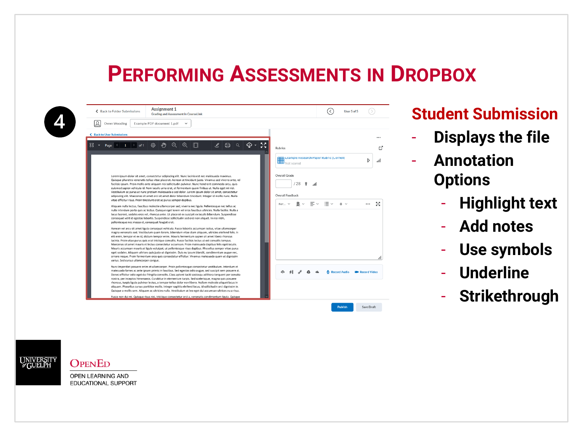| ٨ |  |
|---|--|
|   |  |

| Ω<br>Owen Wooding                                  | Example PDF document 1.pdf<br>$\checkmark$                                                                                                                                                                                                                                                                                                                                                                                                                                                                                                                                                                                                                                                                                                                                                                                                                      |                         |
|----------------------------------------------------|-----------------------------------------------------------------------------------------------------------------------------------------------------------------------------------------------------------------------------------------------------------------------------------------------------------------------------------------------------------------------------------------------------------------------------------------------------------------------------------------------------------------------------------------------------------------------------------------------------------------------------------------------------------------------------------------------------------------------------------------------------------------------------------------------------------------------------------------------------------------|-------------------------|
| ← Back to User Submissions                         |                                                                                                                                                                                                                                                                                                                                                                                                                                                                                                                                                                                                                                                                                                                                                                                                                                                                 | $\cdots$                |
| $1 \mid$ of 1<br>Page                              | ≝<br>ক -<br>$\Theta$<br>$\odot$<br>දුසු<br>$\mathscr{L}$<br>⊜<br>$\alpha$<br><b>Rubrics</b>                                                                                                                                                                                                                                                                                                                                                                                                                                                                                                                                                                                                                                                                                                                                                                     |                         |
|                                                    | Example Research Paper Rubric (Cornell)                                                                                                                                                                                                                                                                                                                                                                                                                                                                                                                                                                                                                                                                                                                                                                                                                         | D<br>اس.                |
|                                                    | Overall Grade<br>Lorem ipsum dolor sit amet, consectetur adipiscing elit. Nunc lacinia est nec malesuada maximus.<br>Quisque pharetra venenatis tellus vitae placerat. Aenean at tincidunt justo. Vivamus sed viverra ante, vel<br>128<br>Ŷ<br>facilisis ipsum. Proin mollis ante aliquam nisi sollicitudin pulvinar. Nunc hendrerit commodo arcu, quis<br>ان<br>euismod sapien vehicula id. Nam iaculis urna erat, at fermentum quam finibus ut. Nulla eget mi nisl.<br>Vestibulum ac purus ut nunc pretium malesuada a sed dolor. Lorem ipsum dolor sit amet, consectetur<br>Overall Feedback<br>adipiscing elit. Maecenas sit amet orci sit amet dolor bibendum tincidunt. Integer id mollis nunc. Nulla                                                                                                                                                     |                         |
| pellentesque nec massa et, consequat feugiat erat. | vitae efficitur risus. Proin tincidunt erat ac purus semper dapibus.<br>For $\times$ $\quad$ $\quad$ $\quad$ $\quad$<br>$\equiv$ $\sim$<br>≔ ~<br>Aliquam nulla lectus, faucibus molestie ullamcorper sed, viverra nec ligula. Pellentesque nec tellus ac<br>nulla interdum porta quis ac lectus. Quisque eget lorem vel eros faucibus ultricies. Nulla facilisi. Nulla a<br>lacus laoreet, sodales eros vel, rhoncus ante. Ut placerat ex suscipit ex iaculis bibendum. Suspendisse<br>consequat velit id egestas lobortis. Suspendisse sollicitudin sed orci non aliquet. In nisi nibh,                                                                                                                                                                                                                                                                       | 5ă                      |
| varius. Sed cursus ullamcorper congue.             | Aenean vel arcu sit amet ligula consequat vehicula. Fusce lobortis accumsan lectus, vitae ullamcorper<br>magna venenatis sed. Vestibulum quam lorem, bibendum vitae diam aliquam, ultricies eleifend felis. In<br>elit enim, tempor et ex id, dictum tempor enim. Mauris fermentum sapien sit amet libero rhoncus<br>lacinia. Proin vitae purus quis erat tristique convallis. Fusce facilisis lectus ut est convallis tempus.<br>Maecenas sit amet mauris et lectus consectetur accumsan. Proin malesuada dapibus felis eget iaculis.<br>Mauris accumsan mauris at ligula volutpat, ut pellentesque risus dapibus. Phasellus semper vitae purus<br>eget sodales. Aliquam ultrices quis justo ut dignissim. Duis eu ipsum blandit, condimentum augue nec,<br>ornare neque. Proin fermentum eros quis consectetur efficitur. Vivamus malesuada quam ut dignissim | h.                      |
|                                                    | Nunc imperdiet posuere enim et ullamcorper. Proin pellentesque consectetur vestibulum, Interdum et<br>malesuada fames ac ante ipsum primis in faucibus. Sed egestas odio augue, sed suscipit sem posuere at.<br>Record Audio<br>Donec efficitur odio eget dui fringilla convallis. Class aptent taciti sociosqu ad litora torquent per conubia<br>nostra, per inceptos himenaeos. Curabitur in elementum turpis. Sed scelerisque, magna quis posuere<br>rhoncus, turpis ligula pulvinar lectus, a tempor tellus dolor non libero. Nullam molestie aliquet lacus in<br>aliquam. Phasellus cursus porttitor mollis. Integer sagittis eleifend lacus, id sollicitudin orci dignissim in.<br>Quisque a mollis sem. Aliquam ac ultricies nulla. Vestibulum at leo eget dui accumsan ultrices eu a risus.                                                             | <b>EDI</b> Record Video |
|                                                    | Fusce non dui mi. Quisque risus nisi, tristique consectetur orci a, venenatis condimentum ligula. Quisque                                                                                                                                                                                                                                                                                                                                                                                                                                                                                                                                                                                                                                                                                                                                                       |                         |

#### **Student Submission**

- **Displays the file**
- **Annotation Options**
	- **Highlight text**
	- **Add notes**
	- **Use symbols**
	- **Underline**
	- **Strikethrough**



#### **OPENED**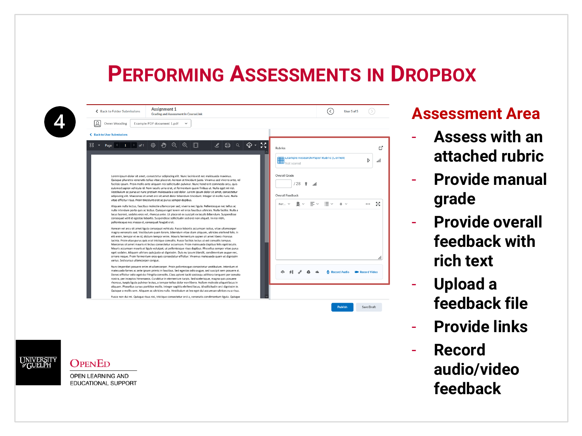| ← Back to Folder Submissions                       | <b>Assignment 1</b><br><b>Grading and Assessment in CourseLink</b>                                                                                                                                                                                                                                                                                                                                                                                                                                                                                                                                                                                                                                                                                                                                                                                              | User 5 of 5<br>≺                                                          |
|----------------------------------------------------|-----------------------------------------------------------------------------------------------------------------------------------------------------------------------------------------------------------------------------------------------------------------------------------------------------------------------------------------------------------------------------------------------------------------------------------------------------------------------------------------------------------------------------------------------------------------------------------------------------------------------------------------------------------------------------------------------------------------------------------------------------------------------------------------------------------------------------------------------------------------|---------------------------------------------------------------------------|
| Ω<br>Owen Wooding                                  | Example PDF document 1.pdf<br>$\checkmark$                                                                                                                                                                                                                                                                                                                                                                                                                                                                                                                                                                                                                                                                                                                                                                                                                      |                                                                           |
| <b>Back to User Submissions</b><br>∢               |                                                                                                                                                                                                                                                                                                                                                                                                                                                                                                                                                                                                                                                                                                                                                                                                                                                                 |                                                                           |
| 88<br>$1$ of 1<br>Page 1                           | ŞŠ.<br>$\epsilon_{\omega}$<br>ঞ্জ ∣<br>$\Theta$<br>$\oplus$<br>П<br>⊜.<br>$\mathscr{L}$<br>$\alpha$<br>ঞ -                                                                                                                                                                                                                                                                                                                                                                                                                                                                                                                                                                                                                                                                                                                                                      | <b>Rubrics</b>                                                            |
|                                                    |                                                                                                                                                                                                                                                                                                                                                                                                                                                                                                                                                                                                                                                                                                                                                                                                                                                                 | Example Research Paper Rubric (Cornell)<br>D<br>اس<br>Not scored          |
|                                                    | Lorem ipsum dolor sit amet, consectetur adipiscing elit. Nunc lacinia est nec malesuada maximus.<br>Quisque pharetra venenatis tellus vitae placerat. Aenean at tincidunt justo. Vivamus sed viverra ante, vel<br>facilisis ipsum. Proin mollis ante aliquam nisi sollicitudin pulvinar. Nunc hendrerit commodo arcu, quis<br>euismod sapien vehicula id. Nam iaculis urna erat, at fermentum quam finibus ut. Nulla eget mi nisl.<br>Vestibulum ac purus ut nunc pretium malesuada a sed dolor. Lorem ipsum dolor sit amet, consectetur<br>adipiscing elit. Maecenas sit amet orci sit amet dolor bibendum tincidunt. Integer id mollis nunc. Nulla                                                                                                                                                                                                            | Overall Grade<br>/28<br>Ŷ<br>۱ı.<br>Overall Feedback                      |
| pellentesque nec massa et, consequat feugiat erat. | vitae efficitur risus. Proin tincidunt erat ac purus semper dapibus.<br>Aliquam nulla lectus, faucibus molestie ullamcorper sed, viverra nec ligula. Pellentesque nec tellus ac<br>nulla interdum porta quis ac lectus. Quisque eget lorem vel eros faucibus ultricies. Nulla facilisi. Nulla a<br>lacus laoreet, sodales eros vel, rhoncus ante. Ut placerat ex suscipit ex iaculis bibendum. Suspendisse<br>consequat velit id egestas lobortis. Suspendisse sollicitudin sed orci non aliquet. In nisi nibh,                                                                                                                                                                                                                                                                                                                                                 | $B \vee \equiv \vee$<br>≔ ~<br>5ð<br>$+$ $\vee$<br>For $\vee$<br>$\cdots$ |
| varius. Sed cursus ullamcorper congue.             | Aenean vel arcu sit amet ligula consequat vehicula. Fusce lobortis accumsan lectus, vitae ullamcorper<br>magna venenatis sed. Vestibulum quam lorem, bibendum vitae diam aliquam, ultricies eleifend felis. In<br>elit enim, tempor et ex id, dictum tempor enim. Mauris fermentum sapien sit amet libero rhoncus<br>lacinia. Proin vitae purus quis erat tristique convallis. Fusce facilisis lectus ut est convallis tempus.<br>Maecenas sit amet mauris et lectus consectetur accumsan. Proin malesuada dapibus felis eget iaculis.<br>Mauris accumsan mauris at ligula volutpat, ut pellentesque risus dapibus. Phasellus semper vitae purus<br>eget sodales. Aliquam ultrices quis justo ut dignissim. Duis eu ipsum blandit, condimentum augue nec,<br>ornare neque. Proin fermentum eros quis consectetur efficitur. Vivamus malesuada quam ut dignissim | h.                                                                        |
|                                                    | Nunc imperdiet posuere enim et ullamcorper. Proin pellentesque consectetur vestibulum, Interdum et<br>malesuada fames ac ante ipsum primis in faucibus. Sed egestas odio augue, sed suscipit sem posuere at.<br>Donec efficitur odio eget dui fringilla convallis. Class aptent taciti sociosqu ad litora torquent per conubia<br>nostra, per inceptos himenaeos. Curabitur in elementum turpis. Sed scelerisque, magna quis posuere<br>rhoncus, turpis ligula pulvinar lectus, a tempor tellus dolor non libero. Nullam molestie aliquet lacus in                                                                                                                                                                                                                                                                                                              | Record Audio<br><b>EM</b> Record Video                                    |
|                                                    | aliquam. Phasellus cursus porttitor mollis. Integer sagittis eleifend lacus, id sollicitudin orci dignissim in.<br>Quisque a mollis sem. Aliquam ac ultricies nulla. Vestibulum at leo eget dui accumsan ultrices eu a risus.<br>Fusce non dui mi. Quisque risus nisi, tristique consectetur orci a, venenatis condimentum ligula. Quisque                                                                                                                                                                                                                                                                                                                                                                                                                                                                                                                      |                                                                           |
|                                                    |                                                                                                                                                                                                                                                                                                                                                                                                                                                                                                                                                                                                                                                                                                                                                                                                                                                                 | Save Draft<br><b>Publish</b>                                              |

**UNIVERSIT**<br>*G*UELPH

**OPENED** OPEN LEARNING AND EDUCATIONAL SUPPORT

#### **Assessment Area**

- **Assess with an attached rubric**

 $\Gamma^P$ 

- **Provide manual grade**
- **Provide overall feedback with rich text**
- **Upload a feedback file**
- **Provide links**
- **Record audio/video feedback**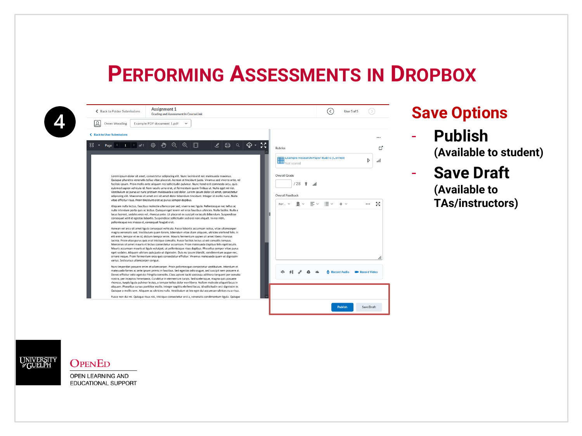| ٠ |  |
|---|--|
|   |  |
|   |  |

| JΩ | Owen Wooding                                                                                                                                                                                                                                                                                                                                                                                                                                                                                                                                                                                                                                                                                                                                                                                                                                                    | Example PDF document 1.pdf |               |                      |               |   |          |  |                |                  |   |                     |                                         |              |                         |           |
|----|-----------------------------------------------------------------------------------------------------------------------------------------------------------------------------------------------------------------------------------------------------------------------------------------------------------------------------------------------------------------------------------------------------------------------------------------------------------------------------------------------------------------------------------------------------------------------------------------------------------------------------------------------------------------------------------------------------------------------------------------------------------------------------------------------------------------------------------------------------------------|----------------------------|---------------|----------------------|---------------|---|----------|--|----------------|------------------|---|---------------------|-----------------------------------------|--------------|-------------------------|-----------|
|    | ← Back to User Submissions                                                                                                                                                                                                                                                                                                                                                                                                                                                                                                                                                                                                                                                                                                                                                                                                                                      |                            |               |                      |               |   |          |  |                |                  |   |                     |                                         |              |                         |           |
|    | Page $1$ of $1$ $\odot$                                                                                                                                                                                                                                                                                                                                                                                                                                                                                                                                                                                                                                                                                                                                                                                                                                         |                            | $\frac{2}{3}$ | $\Theta$<br>$\oplus$ | $\mathscr{L}$ | 吕 | $\alpha$ |  | <b>Rubrics</b> |                  |   |                     |                                         |              |                         | гč        |
|    |                                                                                                                                                                                                                                                                                                                                                                                                                                                                                                                                                                                                                                                                                                                                                                                                                                                                 |                            |               |                      |               |   |          |  |                | Not scored       |   |                     | Example Research Paper Rubric (Cornell) |              |                         | D<br>۰ıll |
|    | Lorem ipsum dolor sit amet, consectetur adipiscing elit. Nunc lacinia est nec malesuada maximus.                                                                                                                                                                                                                                                                                                                                                                                                                                                                                                                                                                                                                                                                                                                                                                |                            |               |                      |               |   |          |  | Overall Grade  |                  |   |                     |                                         |              |                         |           |
|    | Quisque pharetra venenatis tellus vitae placerat. Aenean at tincidunt justo. Vivamus sed viverra ante, vel<br>facilisis ipsum. Proin mollis ante aliquam nisi sollicitudin pulvinar. Nunc hendrerit commodo arcu, quis<br>euismod sapien vehicula id. Nam iaculis urna erat, at fermentum quam finibus ut. Nulla eget mi nisl.<br>Vestibulum ac purus ut nunc pretium malesuada a sed dolor. Lorem ipsum dolor sit amet, consectetur                                                                                                                                                                                                                                                                                                                                                                                                                            |                            |               |                      |               |   |          |  |                | '28              | Ŷ | ۱ıl.                |                                         |              |                         |           |
|    | adipiscing elit. Maecenas sit amet orci sit amet dolor bibendum tincidunt. Integer id mollis nunc. Nulla<br>vitae efficitur risus. Proin tincidunt erat ac purus semper dapibus.                                                                                                                                                                                                                                                                                                                                                                                                                                                                                                                                                                                                                                                                                |                            |               |                      |               |   |          |  |                | Overall Feedback |   |                     |                                         |              |                         |           |
|    | Aliquam nulla lectus, faucibus molestie ullamcorper sed, viverra nec ligula. Pellentesque nec tellus ac<br>nulla interdum porta quis ac lectus. Quisque eget lorem vel eros faucibus ultricies. Nulla facilisi. Nulla a<br>lacus laoreet, sodales eros vel, rhoncus ante. Ut placerat ex suscipit ex iaculis bibendum. Suspendisse<br>consequat velit id egestas lobortis. Suspendisse sollicitudin sed orci non aliquet. In nisi nibh,<br>pellentesque nec massa et, consequat feugiat erat.                                                                                                                                                                                                                                                                                                                                                                   |                            |               |                      |               |   |          |  | For            | в                |   | $\equiv$ $\backsim$ | 津                                       | $+$ $\vee$   |                         | 尺戸<br>ĸъ  |
|    | Aenean vel arcu sit amet ligula conseguat vehicula. Fusce lobortis accumsan lectus, vitae ullamcorper<br>magna venenatis sed. Vestibulum quam lorem, bibendum vitae diam aliquam, ultricies eleifend felis. In<br>elit enim, tempor et ex id, dictum tempor enim. Mauris fermentum sapien sit amet libero rhoncus<br>lacinia. Proin vitae purus quis erat tristique convallis. Fusce facilisis lectus ut est convallis tempus.<br>Maecenas sit amet mauris et lectus consectetur accumsan. Proin malesuada dapibus felis eget iaculis.<br>Mauris accumsan mauris at ligula volutpat, ut pellentesque risus dapibus. Phasellus semper vitae purus<br>eget sodales. Aliquam ultrices quis justo ut dignissim. Duis eu ipsum blandit, condimentum augue nec,<br>ornare neque. Proin fermentum eros quis consectetur efficitur. Vivamus malesuada quam ut dignissim |                            |               |                      |               |   |          |  |                |                  |   |                     |                                         |              |                         | h.        |
|    | varius. Sed cursus ullamcorper congue.<br>Nunc imperdiet posuere enim et ullamcorper. Proin pellentesque consectetur vestibulum. Interdum et<br>malesuada fames ac ante ipsum primis in faucibus. Sed egestas odio augue, sed suscipit sem posuere at.<br>Donec efficitur odio eget dui fringilla convallis. Class aptent taciti sociosqu ad litora torquent per conubia<br>nostra, per inceptos himenaeos. Curabitur in elementum turpis. Sed scelerisque, magna quis posuere<br>rhoncus, turpis ligula pulvinar lectus, a tempor tellus dolor non libero. Nullam molestie aliquet lacus in<br>aliquam. Phasellus cursus porttitor mollis. Integer sagittis eleifend lacus, id sollicitudin orci dignissim in.<br>Quisque a mollis sem. Aliquam ac ultricies nulla. Vestibulum at leo eget dui accumsan ultrices eu a risus.                                   |                            |               |                      |               |   |          |  | ⊕              |                  |   |                     |                                         | Record Audio | <b>EDI</b> Record Video |           |
|    | Fusce non dui mi. Quisque risus nisi, tristique consectetur orci a, venenatis condimentum ligula. Quisque                                                                                                                                                                                                                                                                                                                                                                                                                                                                                                                                                                                                                                                                                                                                                       |                            |               |                      |               |   |          |  |                |                  |   |                     |                                         |              |                         |           |

#### **Save Options**

- **Publish (Available to student)**
- **Save Draft (Available to TAs/instructors)**

UNIVERSIT

#### **OPENED**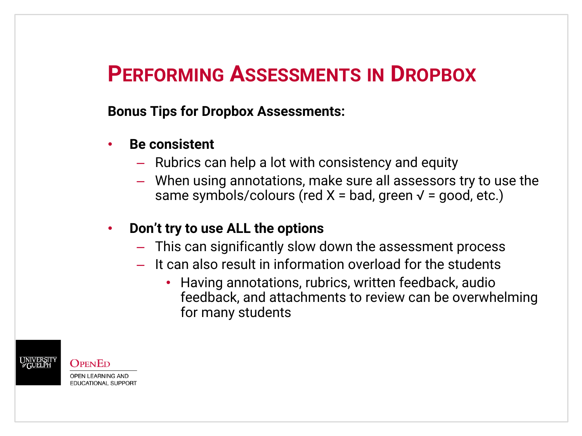#### **Bonus Tips for Dropbox Assessments:**

- **Be consistent**
	- Rubrics can help a lot with consistency and equity
	- When using annotations, make sure all assessors try to use the same symbols/colours (red  $X =$  bad, green  $\sqrt{2}$  = good, etc.)
- **Don't try to use ALL the options**
	- This can significantly slow down the assessment process
	- It can also result in information overload for the students
		- Having annotations, rubrics, written feedback, audio feedback, and attachments to review can be overwhelming for many students

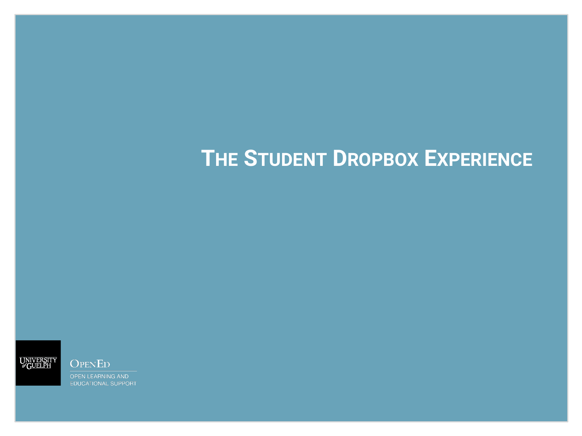# **THE STUDENT DROPBOX EXPERIENCE**



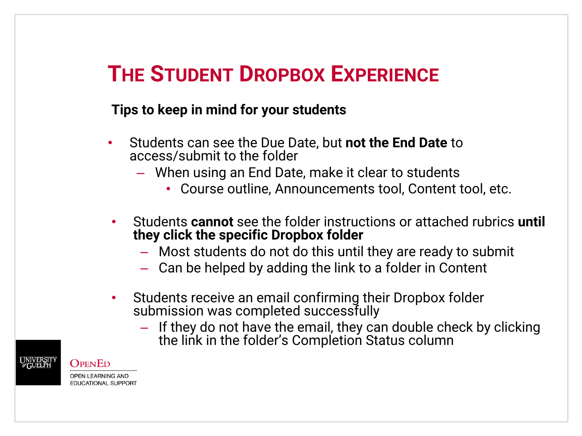# **THE STUDENT DROPBOX EXPERIENCE**

#### **Tips to keep in mind for your students**

- Students can see the Due Date, but **not the End Date** to access/submit to the folder
	- When using an End Date, make it clear to students
		- Course outline, Announcements tool, Content tool, etc.
- Students **cannot** see the folder instructions or attached rubrics **until they click the specific Dropbox folder**
	- Most students do not do this until they are ready to submit
	- Can be helped by adding the link to a folder in Content
- Students receive an email confirming their Dropbox folder submission was completed successfully
	- If they do not have the email, they can double check by clicking the link in the folder's Completion Status column



#### OPENED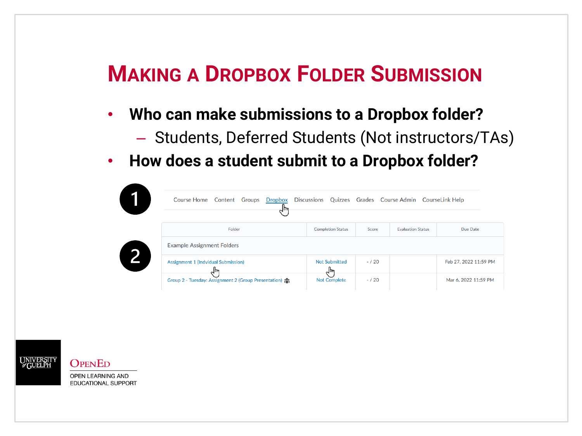# **MAKING A DROPBOX FOLDER SUBMISSION**

- **Who can make submissions to a Dropbox folder?**
	- Students, Deferred Students (Not instructors/TAs)
- **How does a student submit to a Dropbox folder?**

| Course Home Content<br>Groups<br>Dropbox<br>⊣∣⊯ | <b>Discussions</b>          |          | Quizzes Grades Course Admin CourseLink Help |                       |
|-------------------------------------------------|-----------------------------|----------|---------------------------------------------|-----------------------|
| Folder                                          | <b>Completion Status</b>    | Score    | <b>Evaluation Status</b>                    | Due Date              |
| <b>Example Assignment Folders</b>               |                             |          |                                             |                       |
|                                                 |                             |          |                                             |                       |
| Assignment 1 (Indvidual Submission)<br>⊸rµ      | <b>Not Submitted</b><br>√∣µ | $- / 20$ |                                             | Feb 27, 2022 11:59 PM |



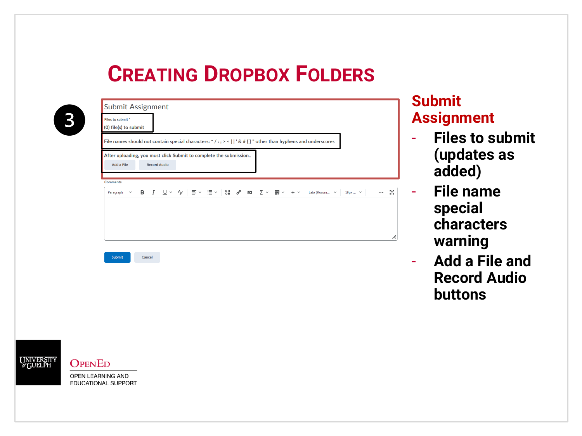| File names should not contain special characters: */:; > <   ' & # { } " other than hyphens and underscores<br>After uploading, you must click Submit to complete the submission |  |                  |
|----------------------------------------------------------------------------------------------------------------------------------------------------------------------------------|--|------------------|
|                                                                                                                                                                                  |  |                  |
|                                                                                                                                                                                  |  |                  |
| <b>Record Audio</b>                                                                                                                                                              |  |                  |
|                                                                                                                                                                                  |  | - 53<br>$\cdots$ |
|                                                                                                                                                                                  |  |                  |
|                                                                                                                                                                                  |  |                  |
|                                                                                                                                                                                  |  |                  |
|                                                                                                                                                                                  |  | $19px$ $\vee$    |

#### **Submit Assignment**

- **Files to submit (updates as added)**
- **File name special characters warning**
- **Add a File and Record Audio buttons**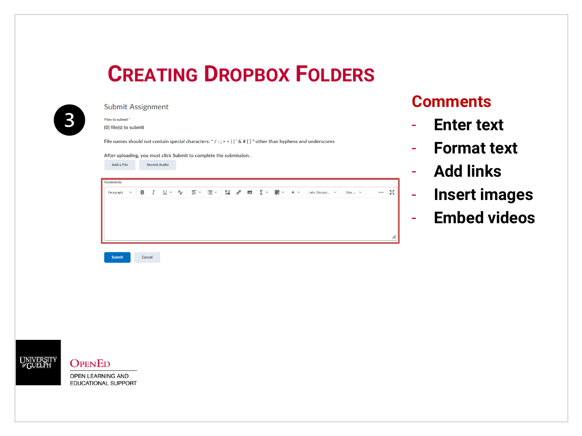

**Submit Assignment** Files to submit \* (0) file(s) to submit File names should not contain special characters: \* / : ; > < | | ' & # { } " other than hyphens and underscores After uploading, you must click Submit to complete the submission.. Add a File **Record Audio Comments**  $\cdots$  52 B А,  $\equiv$   $\sim$  $\equiv$   $\sim$  $\overline{\mathbf{S}}$  $\mathcal{C}^{\rho}$  $\overline{y}$ ▦ Lato (Recom...  $\vee$  $19\text{px} \dots~\vee$ Paragraph ल्ल  $+$   $\vee$ Submit Cancel

#### **Comments**

- **Enter text**
- **Format text**
- **Add links**
- **Insert images**
- **Embed videos**





**OPENED**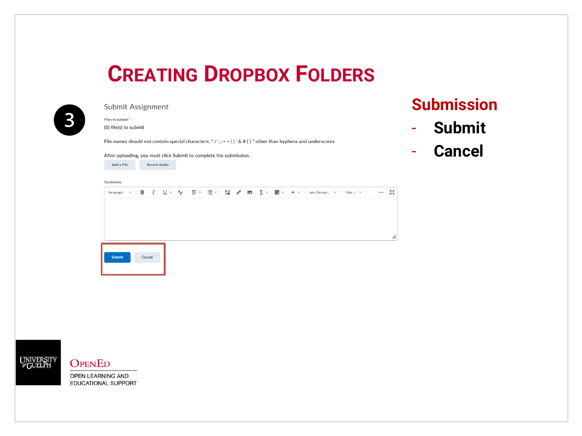

**Submit Assignment** 

Files to submit \* (0) file(s) to submit

File names should not contain special characters: \* / : ; > < | | ' & # { } " other than hyphens and underscores

After uploading, you must click Submit to complete the submission..



#### **Comments**

Paragraph  $\sim$  $B$   $I$  $U ∨ Y | ≡ ∨ ≡ ∨ |U| U | U | U | U | U | U | U | U | U | U | U | U | U | U | U | U | U | U | U | U | U | U | U | </u>$  $\cdots$  55 h. Submit Cancel



#### **OPENED**

OPEN LEARNING AND EDUCATIONAL SUPPORT

#### **Submission**

- **Submit**
- **Cancel**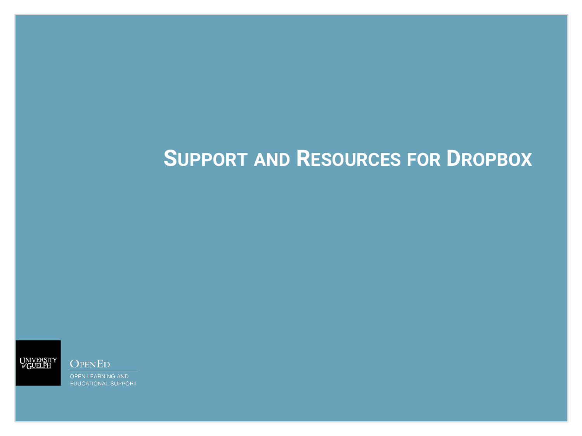# **SUPPORT AND RESOURCES FOR DROPBOX**



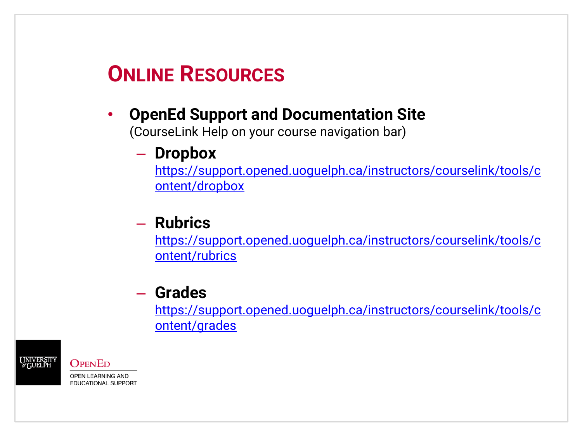# **ONLINE RESOURCES**

#### • **OpenEd Support and Documentation Site**

(CourseLink Help on your course navigation bar)

#### – **Dropbox**

[https://support.opened.uoguelph.ca/instructors/courselink/tools/c](https://support.opened.uoguelph.ca/instructors/courselink/tools/content/dropbox) ontent/dropbox

#### – **Rubrics**

[https://support.opened.uoguelph.ca/instructors/courselink/tools/c](https://support.opened.uoguelph.ca/instructors/courselink/tools/content/rubrics) ontent/rubrics

#### – **Grades**

[https://support.opened.uoguelph.ca/instructors/courselink/tools/c](https://support.opened.uoguelph.ca/instructors/courselink/tools/content/grades) ontent/grades



#### **OPENED**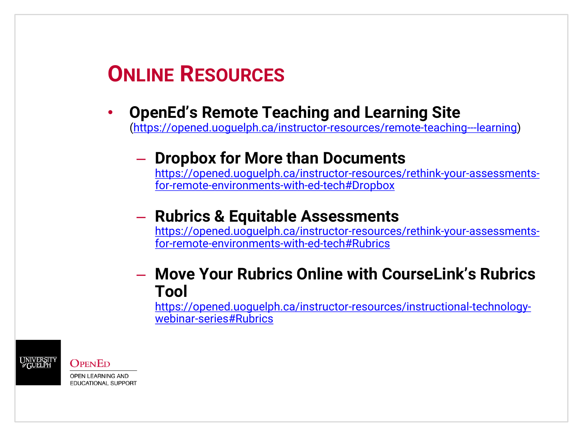# **ONLINE RESOURCES**

### • **OpenEd's Remote Teaching and Learning Site**

[\(https://opened.uoguelph.ca/instructor-resources/remote-teaching---learning\)](https://opened.uoguelph.ca/instructor-resources/remote-teaching---learning)

#### – **Dropbox for More than Documents**

[https://opened.uoguelph.ca/instructor-resources/rethink-your-assessments](https://opened.uoguelph.ca/instructor-resources/rethink-your-assessments-for-remote-environments-with-ed-tech#Dropbox)for-remote-environments-with-ed-tech#Dropbox

#### – **Rubrics & Equitable Assessments**

[https://opened.uoguelph.ca/instructor-resources/rethink-your-assessments](https://opened.uoguelph.ca/instructor-resources/rethink-your-assessments-for-remote-environments-with-ed-tech#Rubrics)for-remote-environments-with-ed-tech#Rubrics

#### – **Move Your Rubrics Online with CourseLink's Rubrics Tool**

[https://opened.uoguelph.ca/instructor-resources/instructional-technology](https://opened.uoguelph.ca/instructor-resources/instructional-technology-webinar-series#Rubrics)webinar-series#Rubrics



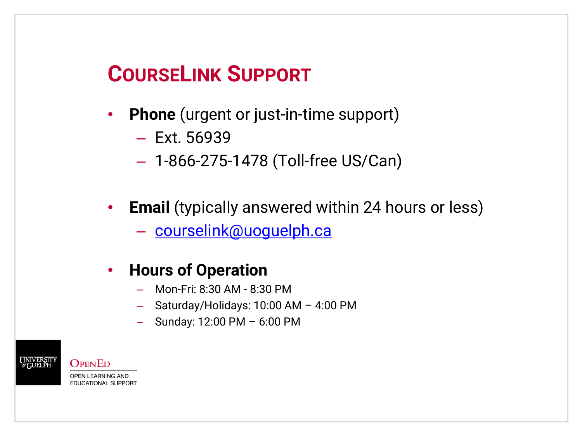# **COURSELINK SUPPORT**

- **Phone** (urgent or just-in-time support)
	- Ext. 56939
	- 1-866-275-1478 (Toll-free US/Can)
- **Email** (typically answered within 24 hours or less)
	- [courselink@uoguelph.ca](mailto:courselink@uoguelph.ca)

#### • **Hours of Operation**

- Mon-Fri: 8:30 AM 8:30 PM
- Saturday/Holidays: 10:00 AM 4:00 PM
- Sunday: 12:00 PM 6:00 PM

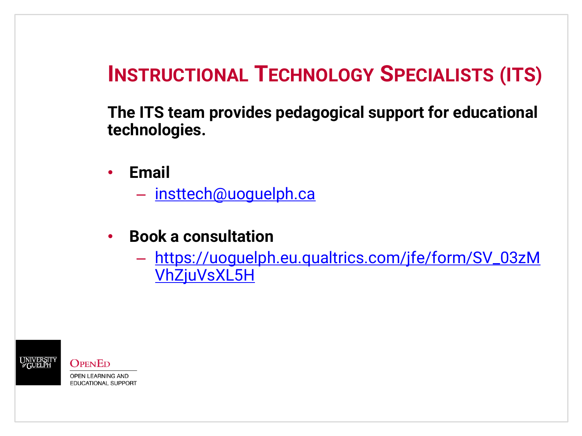# **INSTRUCTIONAL TECHNOLOGY SPECIALISTS (ITS)**

**The ITS team provides pedagogical support for educational technologies.**

- **Email**
	- [insttech@uoguelph.ca](mailto:insttech@uoguelph.ca)
- **Book a consultation**
	- [https://uoguelph.eu.qualtrics.com/jfe/form/SV\\_03zM](https://uoguelph.eu.qualtrics.com/jfe/form/SV_03zMVhZjuVsXL5H) VhZjuVsXL5H



**OPENED OPEN LEARNING AND** 

**EDUCATIONAL SUPPORT**